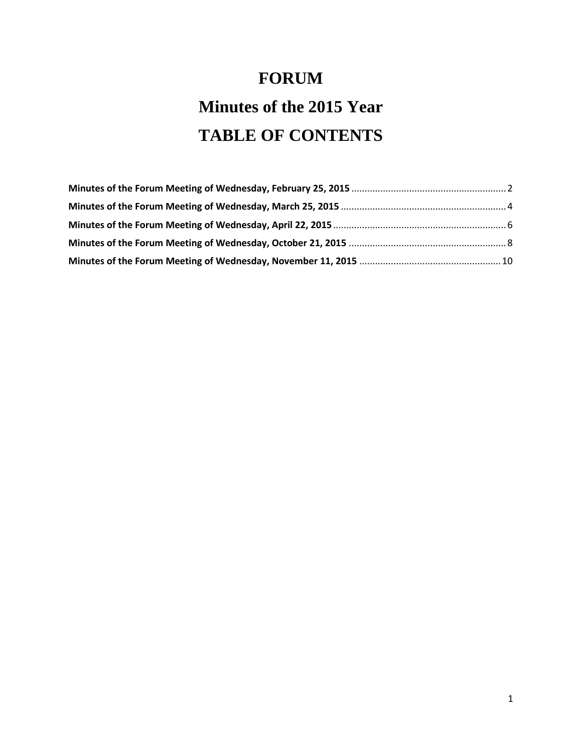# **FORUM Minutes of the 2015 Year TABLE OF CONTENTS**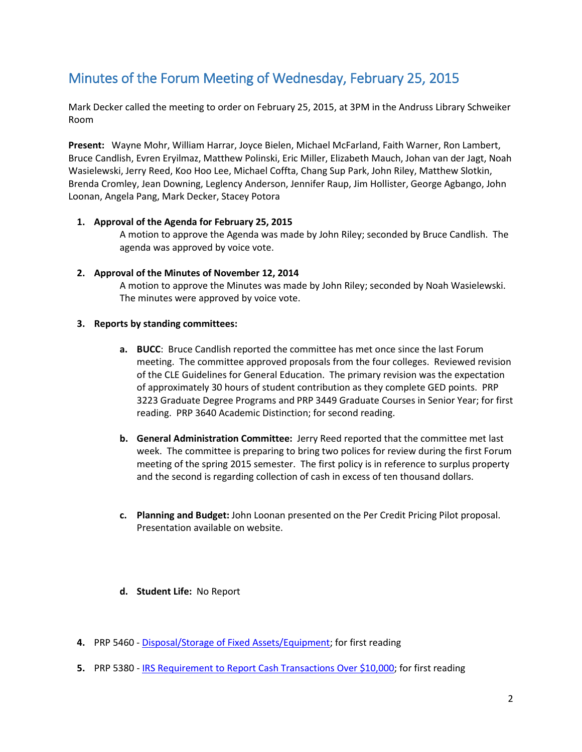# <span id="page-1-0"></span>Minutes of the Forum Meeting of Wednesday, February 25, 2015

Mark Decker called the meeting to order on February 25, 2015, at 3PM in the Andruss Library Schweiker Room

**Present:** Wayne Mohr, William Harrar, Joyce Bielen, Michael McFarland, Faith Warner, Ron Lambert, Bruce Candlish, Evren Eryilmaz, Matthew Polinski, Eric Miller, Elizabeth Mauch, Johan van der Jagt, Noah Wasielewski, Jerry Reed, Koo Hoo Lee, Michael Coffta, Chang Sup Park, John Riley, Matthew Slotkin, Brenda Cromley, Jean Downing, Leglency Anderson, Jennifer Raup, Jim Hollister, George Agbango, John Loonan, Angela Pang, Mark Decker, Stacey Potora

### **1. Approval of the Agenda for February 25, 2015**

A motion to approve the Agenda was made by John Riley; seconded by Bruce Candlish. The agenda was approved by voice vote.

# **2. Approval of the Minutes of November 12, 2014**

A motion to approve the Minutes was made by John Riley; seconded by Noah Wasielewski. The minutes were approved by voice vote.

# **3. Reports by standing committees:**

- **a. BUCC**: Bruce Candlish reported the committee has met once since the last Forum meeting. The committee approved proposals from the four colleges. Reviewed revision of the CLE Guidelines for General Education. The primary revision was the expectation of approximately 30 hours of student contribution as they complete GED points. PRP 3223 Graduate Degree Programs and PRP 3449 Graduate Courses in Senior Year; for first reading. PRP 3640 Academic Distinction; for second reading.
- **b. General Administration Committee:** Jerry Reed reported that the committee met last week. The committee is preparing to bring two polices for review during the first Forum meeting of the spring 2015 semester. The first policy is in reference to surplus property and the second is regarding collection of cash in excess of ten thousand dollars.
- **c. Planning and Budget:** John Loonan presented on the Per Credit Pricing Pilot proposal. Presentation available on website.
- **d. Student Life:** No Report
- **4.** PRP 5460 [Disposal/Storage of Fixed Assets/Equipment;](http://www.bloomu.edu/policies_procedures/5460) for first reading
- **5.** PRP 5380 [IRS Requirement to Report Cash Transactions Over \\$10,000;](http://www.bloomu.edu/policies_procedures/5380) for first reading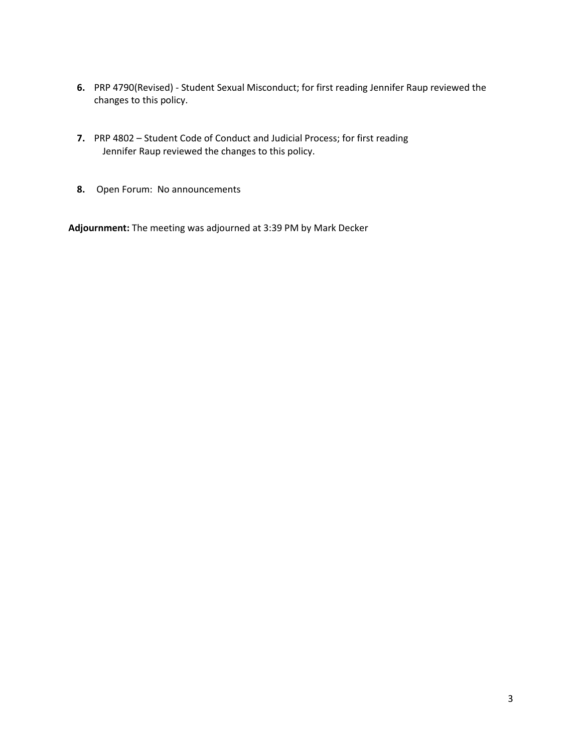- **6.** PRP 4790(Revised) Student Sexual Misconduct; for first reading Jennifer Raup reviewed the changes to this policy.
- **7.** PRP 4802 Student Code of Conduct and Judicial Process; for first reading Jennifer Raup reviewed the changes to this policy.
- **8.** Open Forum: No announcements

**Adjournment:** The meeting was adjourned at 3:39 PM by Mark Decker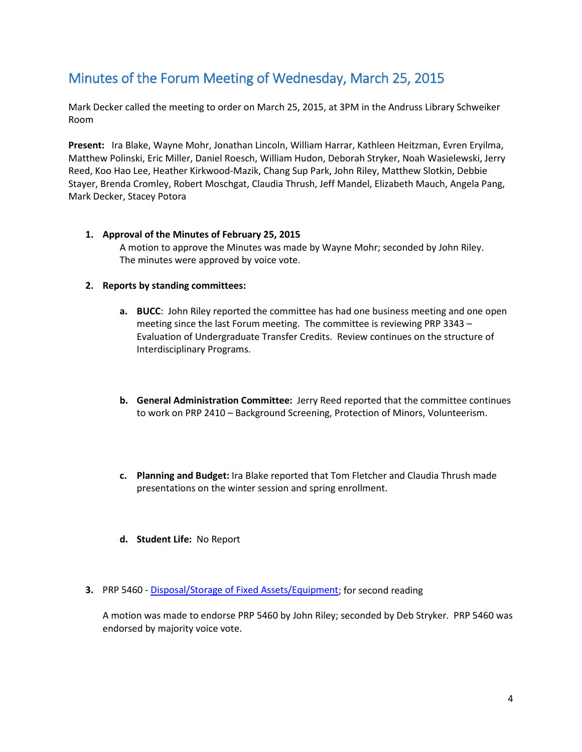# <span id="page-3-0"></span>Minutes of the Forum Meeting of Wednesday, March 25, 2015

Mark Decker called the meeting to order on March 25, 2015, at 3PM in the Andruss Library Schweiker Room

**Present:** Ira Blake, Wayne Mohr, Jonathan Lincoln, William Harrar, Kathleen Heitzman, Evren Eryilma, Matthew Polinski, Eric Miller, Daniel Roesch, William Hudon, Deborah Stryker, Noah Wasielewski, Jerry Reed, Koo Hao Lee, Heather Kirkwood-Mazik, Chang Sup Park, John Riley, Matthew Slotkin, Debbie Stayer, Brenda Cromley, Robert Moschgat, Claudia Thrush, Jeff Mandel, Elizabeth Mauch, Angela Pang, Mark Decker, Stacey Potora

### **1. Approval of the Minutes of February 25, 2015**

A motion to approve the Minutes was made by Wayne Mohr; seconded by John Riley. The minutes were approved by voice vote.

#### **2. Reports by standing committees:**

- **a. BUCC**: John Riley reported the committee has had one business meeting and one open meeting since the last Forum meeting. The committee is reviewing PRP 3343 – Evaluation of Undergraduate Transfer Credits. Review continues on the structure of Interdisciplinary Programs.
- **b. General Administration Committee:** Jerry Reed reported that the committee continues to work on PRP 2410 – Background Screening, Protection of Minors, Volunteerism.
- **c. Planning and Budget:** Ira Blake reported that Tom Fletcher and Claudia Thrush made presentations on the winter session and spring enrollment.
- **d. Student Life:** No Report
- **3.** PRP 5460 Disposal/Storage of [Fixed Assets/Equipment;](http://www.bloomu.edu/policies_procedures/5460) for second reading

A motion was made to endorse PRP 5460 by John Riley; seconded by Deb Stryker. PRP 5460 was endorsed by majority voice vote.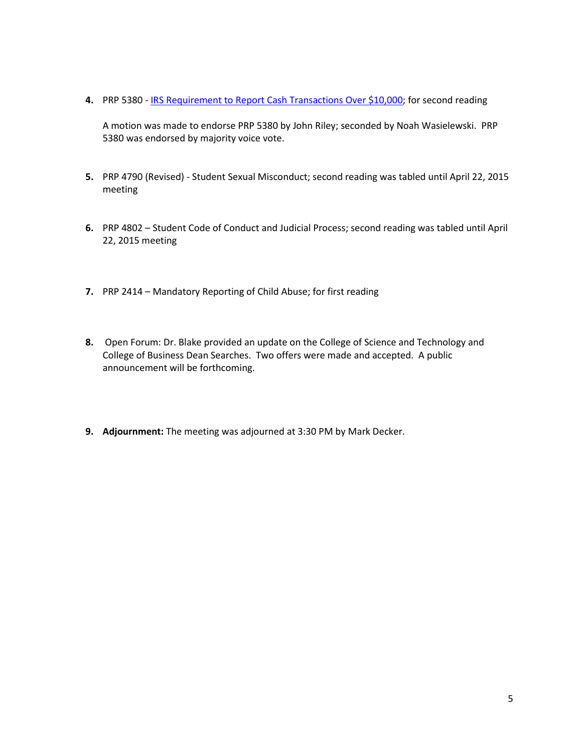**4.** PRP 5380 - [IRS Requirement to Report Cash Transactions Over \\$10,000;](http://www.bloomu.edu/policies_procedures/5380) for second reading

A motion was made to endorse PRP 5380 by John Riley; seconded by Noah Wasielewski. PRP 5380 was endorsed by majority voice vote.

- **5.** PRP 4790 (Revised) Student Sexual Misconduct; second reading was tabled until April 22, 2015 meeting
- **6.** PRP 4802 Student Code of Conduct and Judicial Process; second reading was tabled until April 22, 2015 meeting
- **7.** PRP 2414 Mandatory Reporting of Child Abuse; for first reading
- **8.** Open Forum: Dr. Blake provided an update on the College of Science and Technology and College of Business Dean Searches. Two offers were made and accepted. A public announcement will be forthcoming.
- **9. Adjournment:** The meeting was adjourned at 3:30 PM by Mark Decker.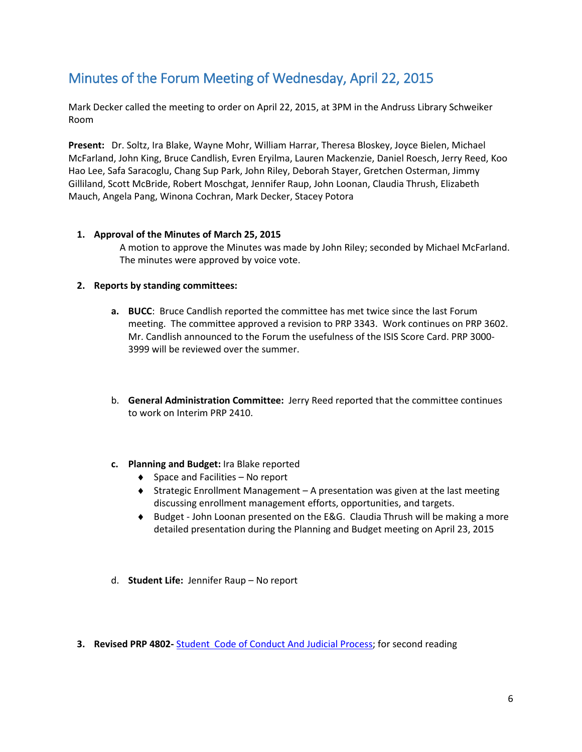# <span id="page-5-0"></span>Minutes of the Forum Meeting of Wednesday, April 22, 2015

Mark Decker called the meeting to order on April 22, 2015, at 3PM in the Andruss Library Schweiker Room

**Present:** Dr. Soltz, Ira Blake, Wayne Mohr, William Harrar, Theresa Bloskey, Joyce Bielen, Michael McFarland, John King, Bruce Candlish, Evren Eryilma, Lauren Mackenzie, Daniel Roesch, Jerry Reed, Koo Hao Lee, Safa Saracoglu, Chang Sup Park, John Riley, Deborah Stayer, Gretchen Osterman, Jimmy Gilliland, Scott McBride, Robert Moschgat, Jennifer Raup, John Loonan, Claudia Thrush, Elizabeth Mauch, Angela Pang, Winona Cochran, Mark Decker, Stacey Potora

# **1. Approval of the Minutes of March 25, 2015**

A motion to approve the Minutes was made by John Riley; seconded by Michael McFarland. The minutes were approved by voice vote.

# **2. Reports by standing committees:**

- **a. BUCC**: Bruce Candlish reported the committee has met twice since the last Forum meeting. The committee approved a revision to PRP 3343. Work continues on PRP 3602. Mr. Candlish announced to the Forum the usefulness of the ISIS Score Card. PRP 3000- 3999 will be reviewed over the summer.
- b. **General Administration Committee:** Jerry Reed reported that the committee continues to work on Interim PRP 2410.

### **c. Planning and Budget:** Ira Blake reported

- ♦ Space and Facilities No report
- ♦ Strategic Enrollment Management A presentation was given at the last meeting discussing enrollment management efforts, opportunities, and targets.
- ♦ Budget John Loonan presented on the E&G. Claudia Thrush will be making a more detailed presentation during the Planning and Budget meeting on April 23, 2015
- d. **Student Life:** Jennifer Raup No report
- **3. Revised PRP 4802-** [Student](http://www.bloomu.edu/policies_procedures/5460) Code of Conduct And Judicial Process; for second reading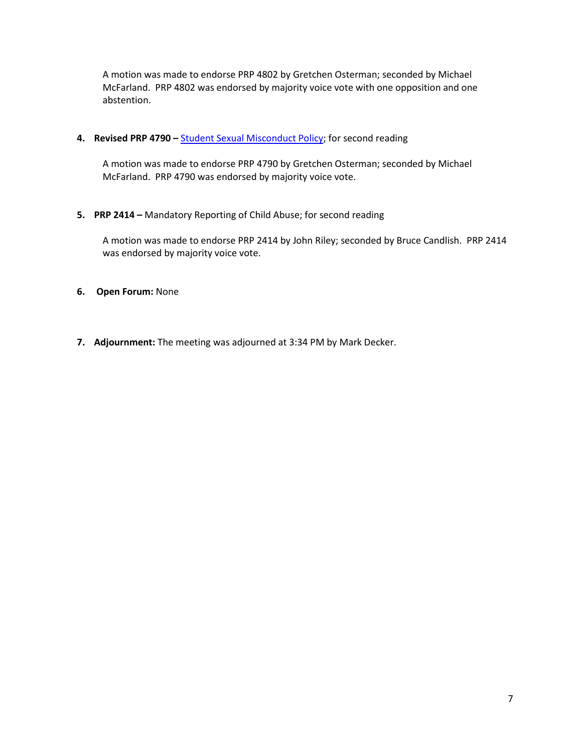A motion was made to endorse PRP 4802 by Gretchen Osterman; seconded by Michael McFarland. PRP 4802 was endorsed by majority voice vote with one opposition and one abstention.

**4. Revised PRP 4790 –** [Student](http://www.bloomu.edu/policies_procedures/5380) Sexual Misconduct Policy; for second reading

A motion was made to endorse PRP 4790 by Gretchen Osterman; seconded by Michael McFarland. PRP 4790 was endorsed by majority voice vote.

**5. PRP 2414 –** Mandatory Reporting of Child Abuse; for second reading

A motion was made to endorse PRP 2414 by John Riley; seconded by Bruce Candlish. PRP 2414 was endorsed by majority voice vote.

- **6. Open Forum:** None
- **7. Adjournment:** The meeting was adjourned at 3:34 PM by Mark Decker.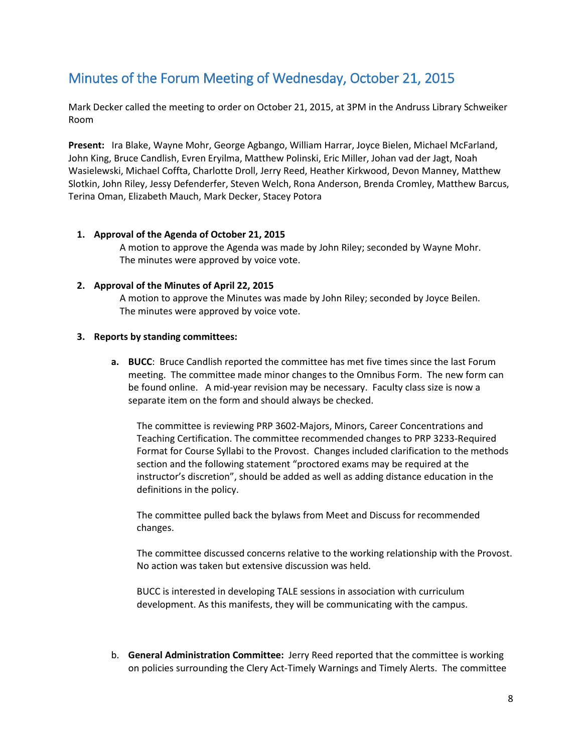# <span id="page-7-0"></span>Minutes of the Forum Meeting of Wednesday, October 21, 2015

Mark Decker called the meeting to order on October 21, 2015, at 3PM in the Andruss Library Schweiker Room

**Present:** Ira Blake, Wayne Mohr, George Agbango, William Harrar, Joyce Bielen, Michael McFarland, John King, Bruce Candlish, Evren Eryilma, Matthew Polinski, Eric Miller, Johan vad der Jagt, Noah Wasielewski, Michael Coffta, Charlotte Droll, Jerry Reed, Heather Kirkwood, Devon Manney, Matthew Slotkin, John Riley, Jessy Defenderfer, Steven Welch, Rona Anderson, Brenda Cromley, Matthew Barcus, Terina Oman, Elizabeth Mauch, Mark Decker, Stacey Potora

### **1. Approval of the Agenda of October 21, 2015**

A motion to approve the Agenda was made by John Riley; seconded by Wayne Mohr. The minutes were approved by voice vote.

#### **2. Approval of the Minutes of April 22, 2015**

A motion to approve the Minutes was made by John Riley; seconded by Joyce Beilen. The minutes were approved by voice vote.

#### **3. Reports by standing committees:**

**a. BUCC**: Bruce Candlish reported the committee has met five times since the last Forum meeting. The committee made minor changes to the Omnibus Form. The new form can be found online. A mid-year revision may be necessary. Faculty class size is now a separate item on the form and should always be checked.

The committee is reviewing PRP 3602-Majors, Minors, Career Concentrations and Teaching Certification. The committee recommended changes to PRP 3233-Required Format for Course Syllabi to the Provost. Changes included clarification to the methods section and the following statement "proctored exams may be required at the instructor's discretion", should be added as well as adding distance education in the definitions in the policy.

The committee pulled back the bylaws from Meet and Discuss for recommended changes.

The committee discussed concerns relative to the working relationship with the Provost. No action was taken but extensive discussion was held.

BUCC is interested in developing TALE sessions in association with curriculum development. As this manifests, they will be communicating with the campus.

b. **General Administration Committee:** Jerry Reed reported that the committee is working on policies surrounding the Clery Act-Timely Warnings and Timely Alerts. The committee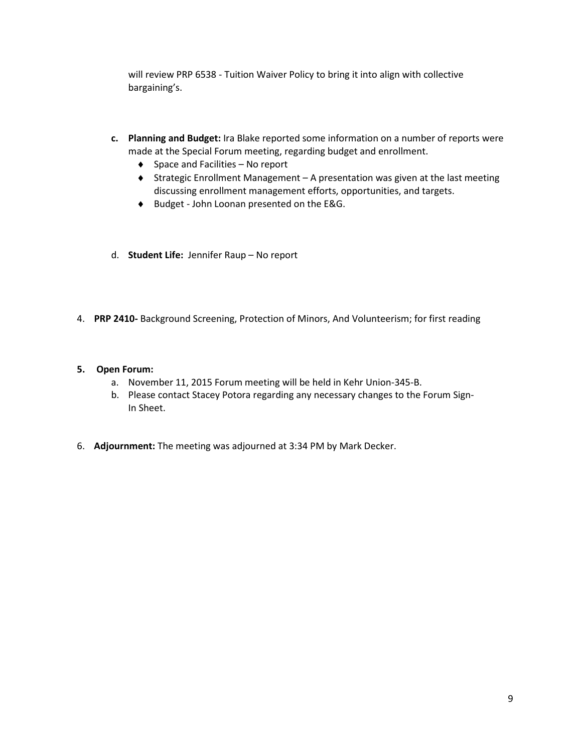will review PRP 6538 - Tuition Waiver Policy to bring it into align with collective bargaining's.

- **c. Planning and Budget:** Ira Blake reported some information on a number of reports were made at the Special Forum meeting, regarding budget and enrollment.
	- ♦ Space and Facilities No report
	- ♦ Strategic Enrollment Management A presentation was given at the last meeting discussing enrollment management efforts, opportunities, and targets.
	- ♦ Budget John Loonan presented on the E&G.
- d. **Student Life:** Jennifer Raup No report
- 4. **PRP 2410-** Background Screening, Protection of Minors, And Volunteerism; for first reading
- **5. Open Forum:** 
	- a. November 11, 2015 Forum meeting will be held in Kehr Union-345-B.
	- b. Please contact Stacey Potora regarding any necessary changes to the Forum Sign-In Sheet.
- 6. **Adjournment:** The meeting was adjourned at 3:34 PM by Mark Decker.